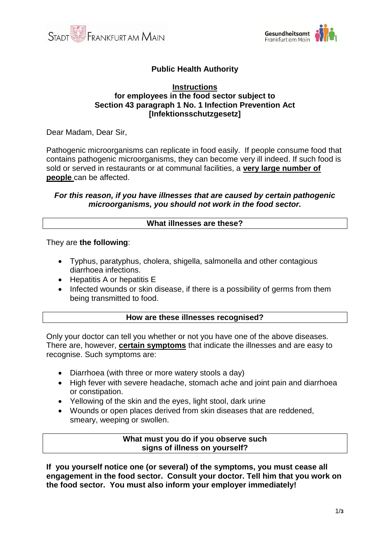



# **Public Health Authority**

#### **Instructions for employees in the food sector subject to Section 43 paragraph 1 No. 1 Infection Prevention Act [Infektionsschutzgesetz]**

Dear Madam, Dear Sir,

Pathogenic microorganisms can replicate in food easily. If people consume food that contains pathogenic microorganisms, they can become very ill indeed. If such food is sold or served in restaurants or at communal facilities, a **very large number of people** can be affected.

### *For this reason, if you have illnesses that are caused by certain pathogenic microorganisms, you should not work in the food sector.*

### **What illnesses are these?**

They are **the following**:

- Typhus, paratyphus, cholera, shigella, salmonella and other contagious diarrhoea infections.
- Hepatitis A or hepatitis E
- Infected wounds or skin disease, if there is a possibility of germs from them being transmitted to food.

## **How are these illnesses recognised?**

Only your doctor can tell you whether or not you have one of the above diseases. There are, however, **certain symptoms** that indicate the illnesses and are easy to recognise. Such symptoms are:

- Diarrhoea (with three or more watery stools a day)
- High fever with severe headache, stomach ache and joint pain and diarrhoea or constipation.
- Yellowing of the skin and the eyes, light stool, dark urine
- Wounds or open places derived from skin diseases that are reddened, smeary, weeping or swollen.

### **What must you do if you observe such signs of illness on yourself?**

**If you yourself notice one (or several) of the symptoms, you must cease all engagement in the food sector. Consult your doctor. Tell him that you work on the food sector. You must also inform your employer immediately!**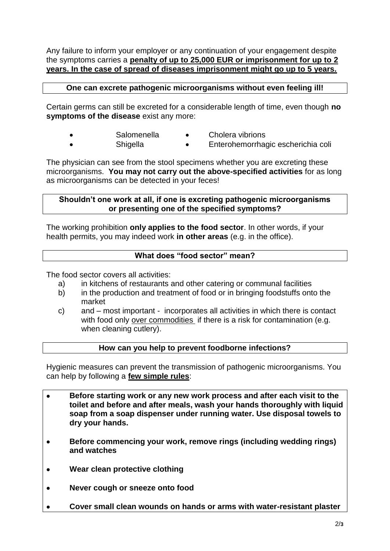Any failure to inform your employer or any continuation of your engagement despite the symptoms carries a **penalty of up to 25,000 EUR or imprisonment for up to 2 years. In the case of spread of diseases imprisonment might go up to 5 years.** 

# **One can excrete pathogenic microorganisms without even feeling ill!**

Certain germs can still be excreted for a considerable length of time, even though **no symptoms of the disease** exist any more:

- Salomenella Cholera vibrions
- Shigella Enterohemorrhagic escherichia coli

The physician can see from the stool specimens whether you are excreting these microorganisms. **You may not carry out the above-specified activities** for as long as microorganisms can be detected in your feces!

## **Shouldn't one work at all, if one is excreting pathogenic microorganisms or presenting one of the specified symptoms?**

The working prohibition **only applies to the food sector**. In other words, if your health permits, you may indeed work **in other areas** (e.g. in the office).

# **What does "food sector" mean?**

The food sector covers all activities:

- a) in kitchens of restaurants and other catering or communal facilities
- b) in the production and treatment of food or in bringing foodstuffs onto the market
- c) and most important incorporates all activities in which there is contact with food only over commodities if there is a risk for contamination (e.g. when cleaning cutlery).

## **How can you help to prevent foodborne infections?**

Hygienic measures can prevent the transmission of pathogenic microorganisms. You can help by following a **few simple rules**:

- **Before starting work or any new work process and after each visit to the toilet and before and after meals, wash your hands thoroughly with liquid soap from a soap dispenser under running water. Use disposal towels to dry your hands.**
- **Before commencing your work, remove rings (including wedding rings) and watches**
- **Wear clean protective clothing**
- **Never cough or sneeze onto food**
- **Cover small clean wounds on hands or arms with water-resistant plaster**